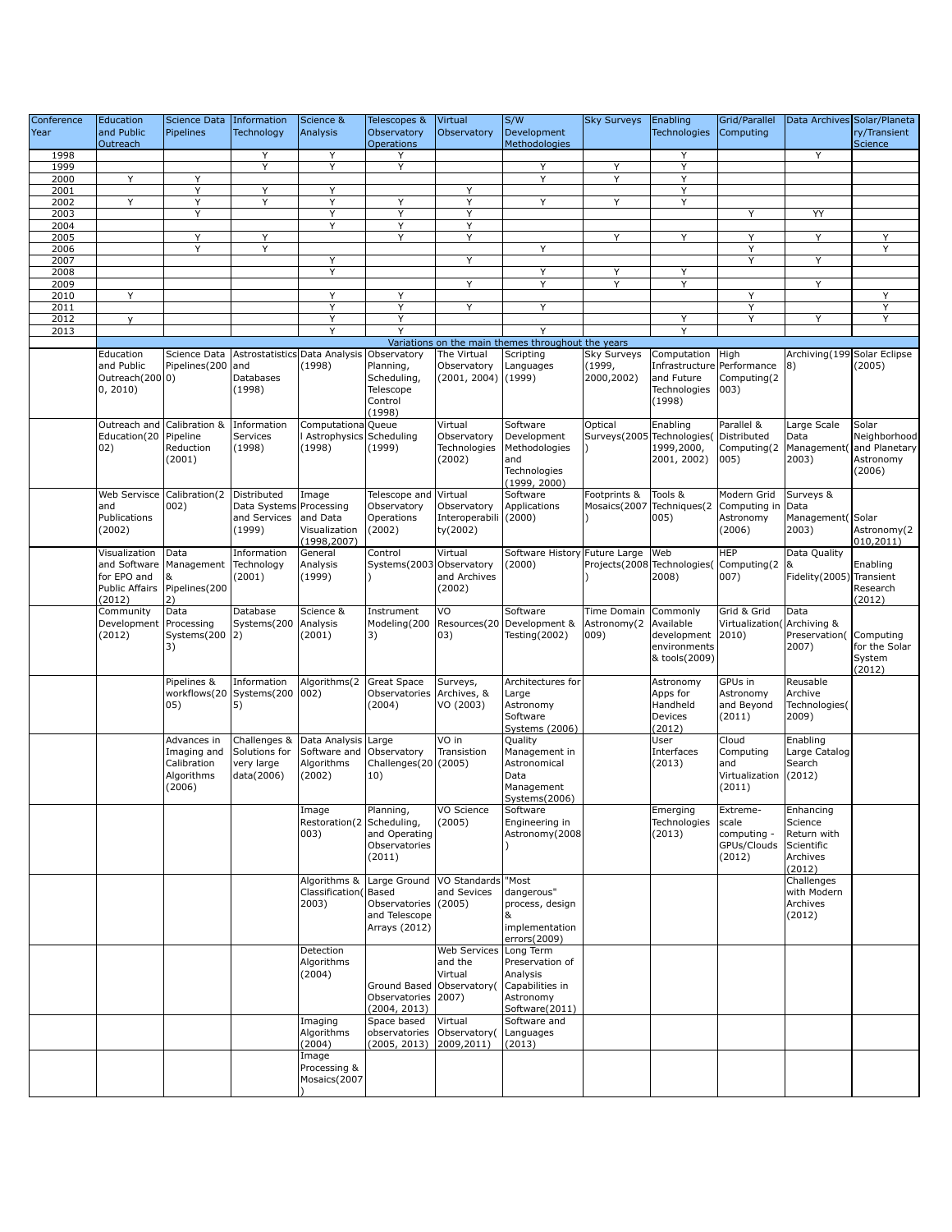| Conference   | Education      | Science Data  | Information             | Science &                     | Telescopes &                | Virtual               | S/W                                                | <b>Sky Surveys</b>          | Enabling                     | Grid/Parallel   |                             | Data Archives Solar/Planeta |
|--------------|----------------|---------------|-------------------------|-------------------------------|-----------------------------|-----------------------|----------------------------------------------------|-----------------------------|------------------------------|-----------------|-----------------------------|-----------------------------|
| Year         | and Public     | Pipelines     | Technology              | Analysis                      | Observatory                 | Observatory           | Development                                        |                             | <b>Technologies</b>          | Computing       |                             | ry/Transient                |
|              | Outreach       |               |                         |                               | <b>Operations</b>           |                       | Methodologies                                      |                             |                              |                 |                             | <b>Science</b>              |
| 1998         |                |               | Y                       | Y                             | Υ                           |                       |                                                    |                             | Y                            |                 | Y                           |                             |
| 1999         |                |               | Y                       | Y                             | Y                           |                       | Y                                                  | Y                           | Υ                            |                 |                             |                             |
| 2000<br>2001 | Υ              | Υ<br>Υ        | Y                       | Y                             |                             | Υ                     | Y                                                  | Y                           | Υ<br>Υ                       |                 |                             |                             |
| 2002         | Υ              | Υ             | Y                       | Υ                             | Y                           | Y                     | Y                                                  | Y                           | Y                            |                 |                             |                             |
| 2003         |                | Y             |                         | Υ                             | Y                           | Y                     |                                                    |                             |                              | Y               | YY                          |                             |
| 2004         |                |               |                         | Y                             | Y                           | Y                     |                                                    |                             |                              |                 |                             |                             |
| 2005         |                | Υ             | Υ                       |                               | Y                           | Y                     |                                                    | Y                           | Y                            | Υ               | Y                           | Y                           |
| 2006         |                | Y             | Y                       |                               |                             |                       | Y                                                  |                             |                              | Υ               |                             | Y                           |
| 2007         |                |               |                         | Y                             |                             | Y                     |                                                    |                             |                              | Y               | Y                           |                             |
| 2008         |                |               |                         | Y                             |                             |                       | Υ                                                  | Υ                           | Y                            |                 |                             |                             |
| 2009         |                |               |                         |                               |                             | Y                     | Υ                                                  | Y                           | Y                            |                 | Υ                           |                             |
| 2010         | Υ              |               |                         | Y<br>Υ                        | Y<br>Y                      | Y                     | Υ                                                  |                             |                              | Y<br>Y          |                             | Y<br>Y                      |
| 2011<br>2012 | y              |               |                         | Υ                             | Υ                           |                       |                                                    |                             | Y                            | Y               | Y                           | Υ                           |
| 2013         |                |               |                         | Y                             | Y                           |                       | Y                                                  |                             | Y                            |                 |                             |                             |
|              |                |               |                         |                               |                             |                       | Variations on the main themes throughout the years |                             |                              |                 |                             |                             |
|              | Education      | Science Data  |                         | Astrostatistics Data Analysis | Observatory                 | The Virtual           | Scripting                                          | Sky Surveys                 | Computation                  | High            | Archiving(199 Solar Eclipse |                             |
|              | and Public     | Pipelines(200 | land                    | (1998)                        | Planning,                   | Observatory           | Languages                                          | (1999,                      | Infrastructure   Performance |                 | 8)                          | (2005)                      |
|              | Outreach(2000) |               | Databases               |                               | Scheduling,                 | (2001, 2004)          | (1999)                                             | 2000,2002)                  | and Future                   | Computing(2     |                             |                             |
|              | 0, 2010)       |               | (1998)                  |                               | Telescope                   |                       |                                                    |                             | Technologies                 | 003)            |                             |                             |
|              |                |               |                         |                               | Control                     |                       |                                                    |                             | (1998)                       |                 |                             |                             |
|              | Outreach and   | Calibration & |                         |                               | (1998)                      | Virtual               | Software                                           |                             |                              | Parallel &      |                             |                             |
|              | Education(20   | Pipeline      | Information<br>Services | Computationa<br>Astrophysics  | Queue<br>Scheduling         | Observatory           | Development                                        | Optical<br>Surveys(2005     | Enabling<br>Technologies(    | Distributed     | Large Scale<br>Data         | Solar<br>Neighborhood       |
|              | 02)            | Reduction     | (1998)                  | (1998)                        | (1999)                      | Technologies          | Methodologies                                      |                             | 1999,2000,                   | Computing(2     |                             | Management(and Planetary    |
|              |                | (2001)        |                         |                               |                             | (2002)                | and                                                |                             | 2001, 2002)                  | 005)            | 2003)                       | Astronomy                   |
|              |                |               |                         |                               |                             |                       | Technologies                                       |                             |                              |                 |                             | (2006)                      |
|              |                |               |                         |                               |                             |                       | (1999, 2000)                                       |                             |                              |                 |                             |                             |
|              | Web Servisce   | Calibration(2 | Distributed             | Image                         | Telescope and               | Virtual               | Software                                           | Footprints &                | Tools &                      | Modern Grid     | Surveys &                   |                             |
|              | and            | 002)          | Data Systems Processing |                               | Observatory                 | Observatory           | Applications                                       | Mosaics(2007                | Techniques(2                 | Computing in    | Data                        |                             |
|              | Publications   |               | and Services            | and Data                      | Operations                  | Interoperabili        | (2000)                                             |                             | 005)                         | Astronomy       | Management(Solar            |                             |
|              | (2002)         |               | (1999)                  | Visualization                 | (2002)                      | ty(2002)              |                                                    |                             |                              | (2006)          | 2003)                       | Astronomy(2<br>010,2011)    |
|              | Visualization  | Data          | Information             | (1998, 2007)<br>General       | Control                     | Virtual               | Software History Future Large                      |                             | Web                          | <b>HEP</b>      | Data Quality                |                             |
|              | and Software   | Management    | Technology              | Analysis                      | Systems(2003                | Observatory           | (2000)                                             | Projects(2008 Technologies) |                              | Computing(2     |                             | Enabling                    |
|              | for EPO and    | &             | (2001)                  | (1999)                        |                             | and Archives          |                                                    |                             | 2008)                        | 007)            | Fidelity(2005) Transient    |                             |
|              | Public Affairs | Pipelines(200 |                         |                               |                             | (2002)                |                                                    |                             |                              |                 |                             | Research                    |
|              | (2012)         | 2)            |                         |                               |                             |                       |                                                    |                             |                              |                 |                             | (2012)                      |
|              | Community      | Data          | Database                | Science &                     | Instrument                  | VO                    | Software                                           | Time Domain                 | Commonly                     | Grid & Grid     | Data                        |                             |
|              | Development    | Processing    | Systems(200             | Analysis                      | Modeling(200                | Resources(20          | Development &                                      | Astronomy(2                 | Available                    | Virtualization( | Archiving &                 |                             |
|              | (2012)         | Systems(200   | 2)                      | (2001)                        | 3)                          | 03)                   | Testing(2002)                                      | 009)                        | development                  | 2010)           | Preservation( Computing     |                             |
|              |                | 3)            |                         |                               |                             |                       |                                                    |                             | environments                 |                 | 2007)                       | for the Solar               |
|              |                |               |                         |                               |                             |                       |                                                    |                             | & tools(2009)                |                 |                             | System                      |
|              |                | Pipelines &   | Information             | Algorithms(2                  | Great Space                 | Surveys,              | Architectures for                                  |                             | Astronomy                    | GPUs in         | Reusable                    | (2012)                      |
|              |                | workflows(20  | Systems(200             | 002)                          | Observatories               | Archives, &           | Large                                              |                             | Apps for                     | Astronomy       | Archive                     |                             |
|              |                | 05)           | 5)                      |                               | (2004)                      | VO (2003)             | Astronomy                                          |                             | Handheld                     | and Beyond      | Technologies(               |                             |
|              |                |               |                         |                               |                             |                       | Software                                           |                             | Devices                      | (2011)          | 2009)                       |                             |
|              |                |               |                         |                               |                             |                       | Systems (2006)                                     |                             | (2012)                       |                 |                             |                             |
|              |                | Advances in   | Challenges &            | Data Analysis                 | Large                       | VO in                 | Quality                                            |                             | User                         | Cloud           | Enabling                    |                             |
|              |                | Imaging and   | Solutions for           | Software and                  | Observatory                 | Transistion           | Management in                                      |                             | Interfaces                   | Computing       | Large Catalog               |                             |
|              |                | Calibration   | very large              | Algorithms                    | Challenges(20               | (2005)                | Astronomical                                       |                             | (2013)                       | and             | Search                      |                             |
|              |                | Algorithms    | data(2006)              | (2002)                        | 10)                         |                       | Data                                               |                             |                              | Virtualization  | (2012)                      |                             |
|              |                | (2006)        |                         |                               |                             |                       | Management<br>Systems(2006)                        |                             |                              | (2011)          |                             |                             |
|              |                |               |                         | Image                         | Planning,                   | VO Science            | Software                                           |                             | Emerging                     | Extreme-        | Enhancing                   |                             |
|              |                |               |                         | Restoration(2 Scheduling,     |                             | (2005)                | Engineering in                                     |                             | Technologies                 | scale           | Science                     |                             |
|              |                |               |                         | 003)                          | and Operating               |                       | Astronomy (2008                                    |                             | (2013)                       | computing -     | Return with                 |                             |
|              |                |               |                         |                               | Observatories               |                       |                                                    |                             |                              | GPUs/Clouds     | Scientific                  |                             |
|              |                |               |                         |                               | (2011)                      |                       |                                                    |                             |                              | (2012)          | Archives                    |                             |
|              |                |               |                         |                               |                             |                       |                                                    |                             |                              |                 | (2012)                      |                             |
|              |                |               |                         | Algorithms &                  | Large Ground                | VO Standards          | "Most                                              |                             |                              |                 | Challenges                  |                             |
|              |                |               |                         | Classification(<br>2003)      | Based<br>Observatories      | and Sevices<br>(2005) | dangerous"<br>process, design                      |                             |                              |                 | with Modern<br>Archives     |                             |
|              |                |               |                         |                               | and Telescope               |                       |                                                    |                             |                              |                 | (2012)                      |                             |
|              |                |               |                         |                               | Arrays (2012)               |                       | implementation                                     |                             |                              |                 |                             |                             |
|              |                |               |                         |                               |                             |                       | errors(2009)                                       |                             |                              |                 |                             |                             |
|              |                |               |                         | Detection                     |                             | <b>Web Services</b>   | Long Term                                          |                             |                              |                 |                             |                             |
|              |                |               |                         | Algorithms                    |                             | and the               | Preservation of                                    |                             |                              |                 |                             |                             |
|              |                |               |                         | (2004)                        |                             | Virtual               | Analysis                                           |                             |                              |                 |                             |                             |
|              |                |               |                         |                               | Ground Based Observatory    |                       | Capabilities in                                    |                             |                              |                 |                             |                             |
|              |                |               |                         |                               | Observatories               | 2007)                 | Astronomy                                          |                             |                              |                 |                             |                             |
|              |                |               |                         | Imaging                       | (2004, 2013)<br>Space based | Virtual               | Software(2011)<br>Software and                     |                             |                              |                 |                             |                             |
|              |                |               |                         | Algorithms                    | observatories               | Observatory(          | Languages                                          |                             |                              |                 |                             |                             |
|              |                |               |                         | (2004)                        | (2005, 2013)                | 2009,2011)            | (2013)                                             |                             |                              |                 |                             |                             |
|              |                |               |                         | Image                         |                             |                       |                                                    |                             |                              |                 |                             |                             |
|              |                |               |                         | Processing &                  |                             |                       |                                                    |                             |                              |                 |                             |                             |
|              |                |               |                         | Mosaics(2007                  |                             |                       |                                                    |                             |                              |                 |                             |                             |
|              |                |               |                         |                               |                             |                       |                                                    |                             |                              |                 |                             |                             |